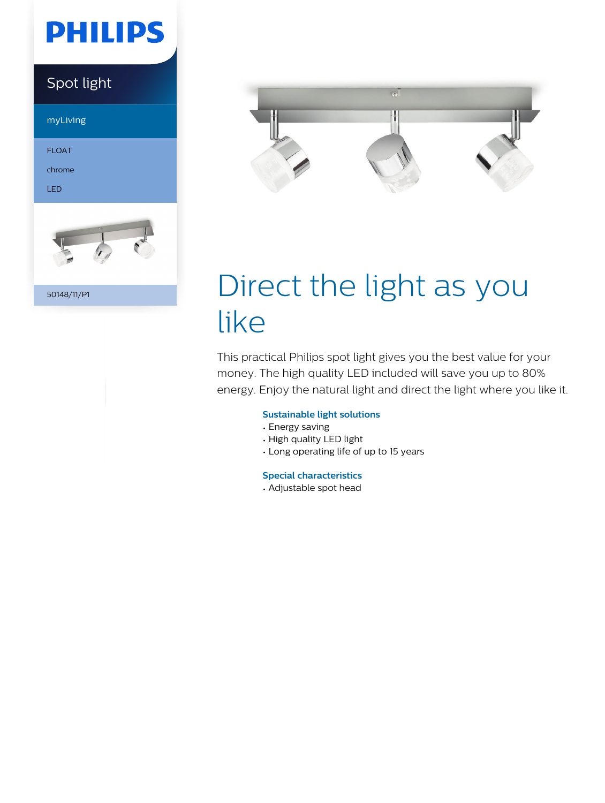# **PHILIPS**

### Spot light

myLiving

FLOAT

chrome

LED



50148/11/P1



# Direct the light as you like

This practical Philips spot light gives you the best value for your money. The high quality LED included will save you up to 80% energy. Enjoy the natural light and direct the light where you like it.

#### **Sustainable light solutions**

- Energy saving
- High quality LED light
- Long operating life of up to 15 years

#### **Special characteristics**

• Adjustable spot head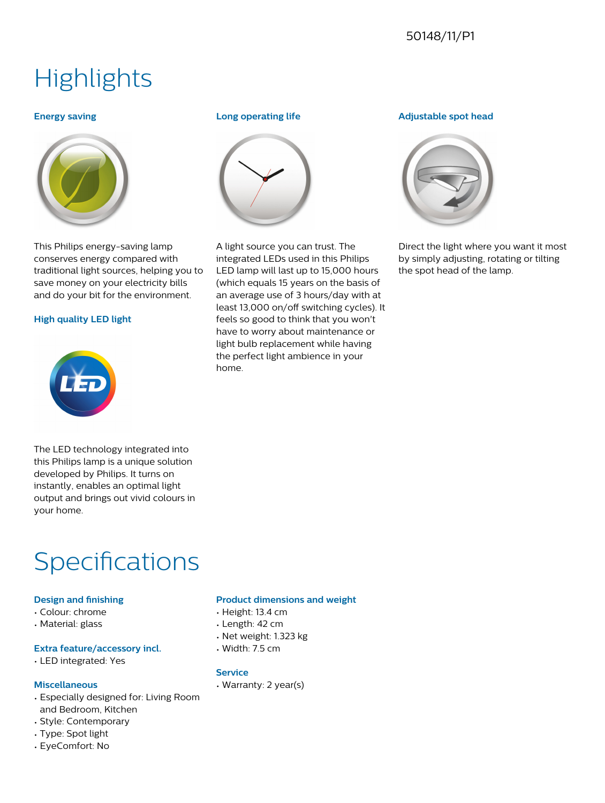#### 50148/11/P1

## **Highlights**

#### **Energy saving**



This Philips energy-saving lamp conserves energy compared with traditional light sources, helping you to save money on your electricity bills and do your bit for the environment.

#### **High quality LED light**



#### **Long operating life**



A light source you can trust. The integrated LEDs used in this Philips LED lamp will last up to 15,000 hours (which equals 15 years on the basis of an average use of 3 hours/day with at least 13,000 on/off switching cycles). It feels so good to think that you won't have to worry about maintenance or light bulb replacement while having the perfect light ambience in your home.

#### **Adjustable spot head**



Direct the light where you want it most by simply adjusting, rotating or tilting the spot head of the lamp.

The LED technology integrated into this Philips lamp is a unique solution developed by Philips. It turns on instantly, enables an optimal light output and brings out vivid colours in your home.

### Specifications

#### **Design and finishing**

- Colour: chrome
- Material: glass

#### **Extra feature/accessory incl.**

• LED integrated: Yes

#### **Miscellaneous**

- Especially designed for: Living Room and Bedroom, Kitchen
- Style: Contemporary
- Type: Spot light
- EyeComfort: No

#### **Product dimensions and weight**

- Height: 13.4 cm
- Length: 42 cm
- Net weight: 1.323 kg
- Width: 7.5 cm

#### **Service**

• Warranty: 2 year(s)